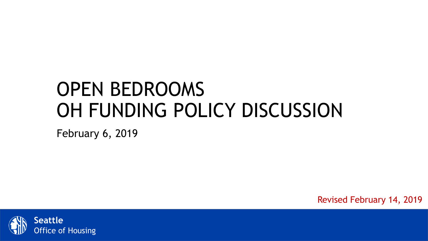# OPEN BEDROOMS OH FUNDING POLICY DISCUSSION

February 6, 2019

Revised February 14, 2019

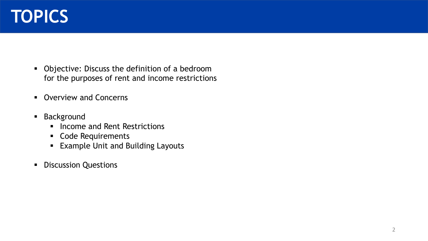

- **•** Objective: Discuss the definition of a bedroom for the purposes of rent and income restrictions
- **Overview and Concerns**
- **Background** 
	- **·** Income and Rent Restrictions
	- Code Requirements
	- Example Unit and Building Layouts
- **•** Discussion Questions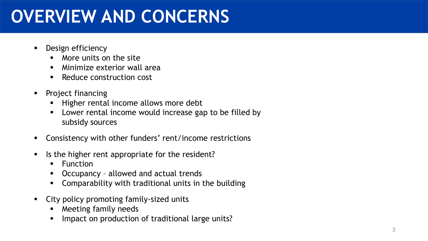# **OVERVIEW AND CONCERNS**

- Design efficiency
	- More units on the site
	- **E** Minimize exterior wall area
	- Reduce construction cost
- Project financing
	- Higher rental income allows more debt
	- Lower rental income would increase gap to be filled by subsidy sources
- Consistency with other funders' rent/income restrictions
- Is the higher rent appropriate for the resident?
	- Function
	- Occupancy allowed and actual trends
	- Comparability with traditional units in the building
- City policy promoting family-sized units
	- Meeting family needs
	- Impact on production of traditional large units?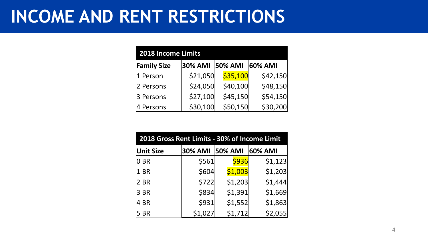## **INCOME AND RENT RESTRICTIONS**

| <b>2018 Income Limits</b> |          |                |          |  |  |  |
|---------------------------|----------|----------------|----------|--|--|--|
| <b>Family Size</b>        | 30% AMI  | <b>50% AMI</b> | 60% AMI  |  |  |  |
| 1 Person                  | \$21,050 | \$35,100       | \$42,150 |  |  |  |
| 2 Persons                 | \$24,050 | \$40,100       | \$48,150 |  |  |  |
| 3 Persons                 | \$27,100 | \$45,150       | \$54,150 |  |  |  |
| 4 Persons                 | \$30,100 | \$50,150       | \$30,200 |  |  |  |

| 2018 Gross Rent Limits - 30% of Income Limit |                |                |         |  |  |  |
|----------------------------------------------|----------------|----------------|---------|--|--|--|
| <b>Unit Size</b>                             | <b>30% AMI</b> | <b>50% AMI</b> | 60% AMI |  |  |  |
| 0 BR                                         | \$561          | \$936          | \$1,123 |  |  |  |
| 1 BR                                         | \$604          | \$1,003        | \$1,203 |  |  |  |
| 2 BR                                         | \$722          | \$1,203        | \$1,444 |  |  |  |
| 3 BR                                         | \$834          | \$1,391        | \$1,669 |  |  |  |
| 4 BR                                         | \$931          | \$1,552        | \$1,863 |  |  |  |
| <b>5 BR</b>                                  | \$1,027        | \$1,712        | \$2,055 |  |  |  |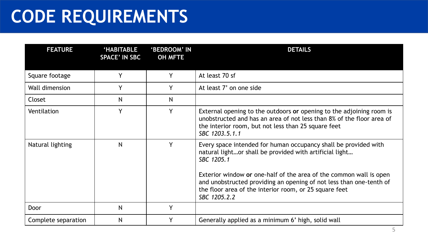# **CODE REQUIREMENTS**

| <b>FEATURE</b>      | <b>HABITABLE</b><br><b>SPACE' IN SBC</b> | 'BEDROOM' IN<br><b>OH MFTE</b> | <b>DETAILS</b>                                                                                                                                                                                                                                                                                                                                                  |  |
|---------------------|------------------------------------------|--------------------------------|-----------------------------------------------------------------------------------------------------------------------------------------------------------------------------------------------------------------------------------------------------------------------------------------------------------------------------------------------------------------|--|
| Square footage      | Y                                        | Y                              | At least 70 sf                                                                                                                                                                                                                                                                                                                                                  |  |
| Wall dimension      | Y                                        | Y                              | At least 7' on one side                                                                                                                                                                                                                                                                                                                                         |  |
| Closet              | N                                        | N                              |                                                                                                                                                                                                                                                                                                                                                                 |  |
| Ventilation         | Y                                        | v                              | External opening to the outdoors or opening to the adjoining room is<br>unobstructed and has an area of not less than 8% of the floor area of<br>the interior room, but not less than 25 square feet<br>SBC 1203.5.1.1                                                                                                                                          |  |
| Natural lighting    | N                                        | v                              | Every space intended for human occupancy shall be provided with<br>natural lightor shall be provided with artificial light<br>SBC 1205.1<br>Exterior window or one-half of the area of the common wall is open<br>and unobstructed providing an opening of not less than one-tenth of<br>the floor area of the interior room, or 25 square feet<br>SBC 1205.2.2 |  |
| Door                | N                                        | Y                              |                                                                                                                                                                                                                                                                                                                                                                 |  |
| Complete separation | N                                        |                                | Generally applied as a minimum 6' high, solid wall                                                                                                                                                                                                                                                                                                              |  |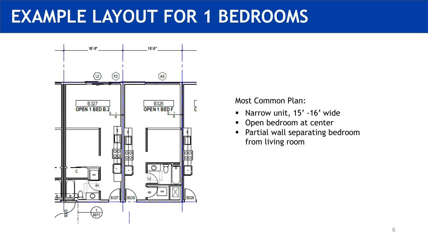## **EXAMPLE LAYOUT FOR 1 BEDROOMS**



Most Common Plan:

- Narrow unit, 15' -16' wide
- **Open bedroom at center**
- **Partial wall separating bedroom** from living room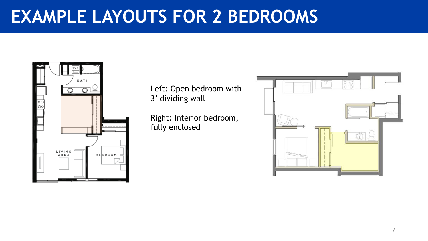#### **EXAMPLE LAYOUTS FOR 2 BEDROOMS**



Left: Open bedroom with 3' dividing wall

Right: Interior bedroom, fully enclosed

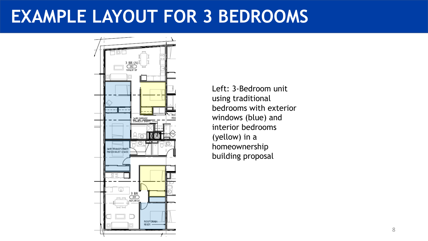#### **EXAMPLE LAYOUT FOR 3 BEDROOMS**



Left: 3-Bedroom unit using traditional bedrooms with exterior windows (blue) and interior bedrooms (yellow) in a homeownership building proposal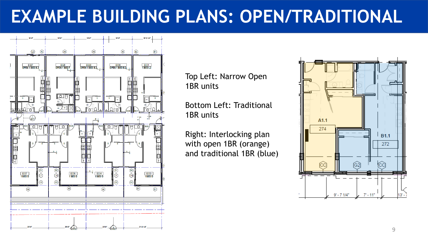## **EXAMPLE BUILDING PLANS: OPEN/TRADITIONAL**



Top Left: Narrow Open 1BR units

Bottom Left: Traditional 1BR units

Right: Interlocking plan with open 1BR (orange) and traditional 1BR (blue)